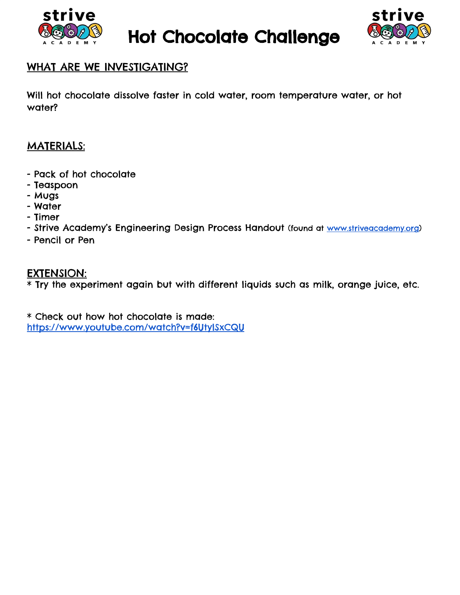

Hot Chocolate Challenge



## WHAT ARE WE INVESTIGATING?

Will hot chocolate dissolve faster in cold water, room temperature water, or hot water?

## MATERIALS:

- Pack of hot chocolate
- Teaspoon
- Mugs
- Water
- Timer
- Strive Academy's Engineering Design Process Handout (found at [www.striveacademy.org\)](http://www.striveacademy.org/)
- Pencil or Pen

## EXTENSION:

\* Try the experiment again but with different liquids such as milk, orange juice, etc.

\* Check out how hot chocolate is made: <https://www.youtube.com/watch?v=f6UtylSxCQU>